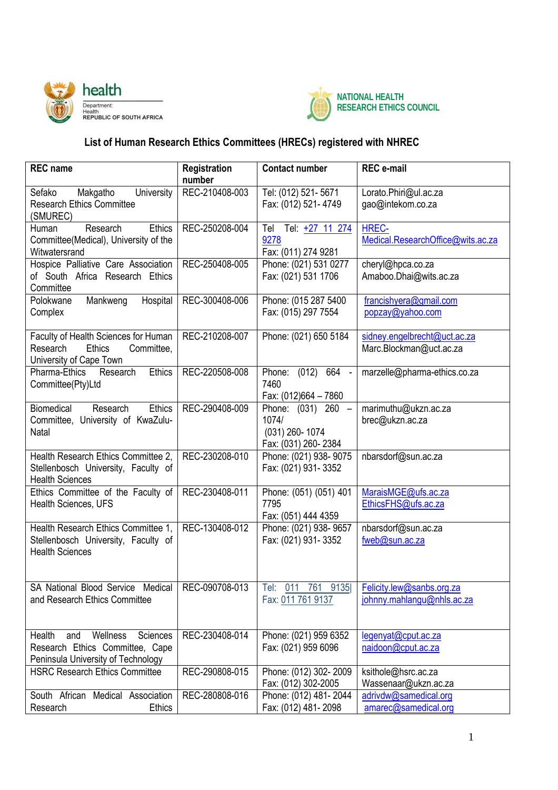



## **List of Human Research Ethics Committees (HRECs) registered with NHREC**

| <b>REC</b> name                                                                                                | Registration<br>number | <b>Contact number</b>                                                | <b>REC</b> e-mail                                       |
|----------------------------------------------------------------------------------------------------------------|------------------------|----------------------------------------------------------------------|---------------------------------------------------------|
| Makgatho<br>University<br>Sefako<br><b>Research Ethics Committee</b><br>(SMUREC)                               | REC-210408-003         | Tel: (012) 521-5671<br>Fax: (012) 521-4749                           | Lorato.Phiri@ul.ac.za<br>gao@intekom.co.za              |
| Research<br><b>Ethics</b><br>Human<br>Committee(Medical), University of the<br>Witwatersrand                   | REC-250208-004         | Tel Tel: +27 11 274<br>9278<br>Fax: (011) 274 9281                   | HREC-<br>Medical.ResearchOffice@wits.ac.za              |
| Hospice Palliative Care Association<br>of South Africa Research Ethics<br>Committee                            | REC-250408-005         | Phone: (021) 531 0277<br>Fax: (021) 531 1706                         | cheryl@hpca.co.za<br>Amaboo.Dhai@wits.ac.za             |
| Mankweng<br>Polokwane<br>Hospital<br>Complex                                                                   | REC-300408-006         | Phone: (015 287 5400<br>Fax: (015) 297 7554                          | francishyera@gmail.com<br>popzay@yahoo.com              |
| Faculty of Health Sciences for Human<br>Research<br><b>Ethics</b><br>Committee,<br>University of Cape Town     | REC-210208-007         | Phone: (021) 650 5184                                                | sidney.engelbrecht@uct.ac.za<br>Marc.Blockman@uct.ac.za |
| Research<br>Ethics<br>Pharma-Ethics<br>Committee(Pty)Ltd                                                       | REC-220508-008         | Phone: (012)<br>664 -<br>7460<br>Fax: (012)664 - 7860                | marzelle@pharma-ethics.co.za                            |
| Biomedical<br><b>Ethics</b><br>Research<br>Committee, University of KwaZulu-<br>Natal                          | REC-290408-009         | Phone: (031) 260 -<br>1074/<br>(031) 260-1074<br>Fax: (031) 260-2384 | marimuthu@ukzn.ac.za<br>brec@ukzn.ac.za                 |
| Health Research Ethics Committee 2,<br>Stellenbosch University, Faculty of<br><b>Health Sciences</b>           | REC-230208-010         | Phone: (021) 938-9075<br>Fax: (021) 931-3352                         | nbarsdorf@sun.ac.za                                     |
| Ethics Committee of the Faculty of<br>Health Sciences, UFS                                                     | REC-230408-011         | Phone: (051) (051) 401<br>7795<br>Fax: (051) 444 4359                | MaraisMGE@ufs.ac.za<br>EthicsFHS@ufs.ac.za              |
| Health Research Ethics Committee 1,<br>Stellenbosch University, Faculty of<br><b>Health Sciences</b>           | REC-130408-012         | Phone: (021) 938-9657<br>Fax: (021) 931-3352                         | nbarsdorf@sun.ac.za<br>fweb@sun.ac.za                   |
| SA National Blood Service Medical<br>and Research Ethics Committee                                             | REC-090708-013         | Tel: 011 761 9135<br>Fax: 011 761 9137                               | Felicity.lew@sanbs.org.za<br>johnny.mahlangu@nhls.ac.za |
| Wellness<br>Sciences<br>Health<br>and<br>Research Ethics Committee, Cape<br>Peninsula University of Technology | REC-230408-014         | Phone: (021) 959 6352<br>Fax: (021) 959 6096                         | legenyat@cput.ac.za<br>naidoon@cput.ac.za               |
| <b>HSRC Research Ethics Committee</b>                                                                          | REC-290808-015         | Phone: (012) 302-2009<br>Fax: (012) 302-2005                         | ksithole@hsrc.ac.za<br>Wassenaar@ukzn.ac.za             |
| South African Medical Association<br>Research<br><b>Ethics</b>                                                 | REC-280808-016         | Phone: (012) 481-2044<br>Fax: (012) 481-2098                         | adrivdw@samedical.org<br>amarec@samedical.org           |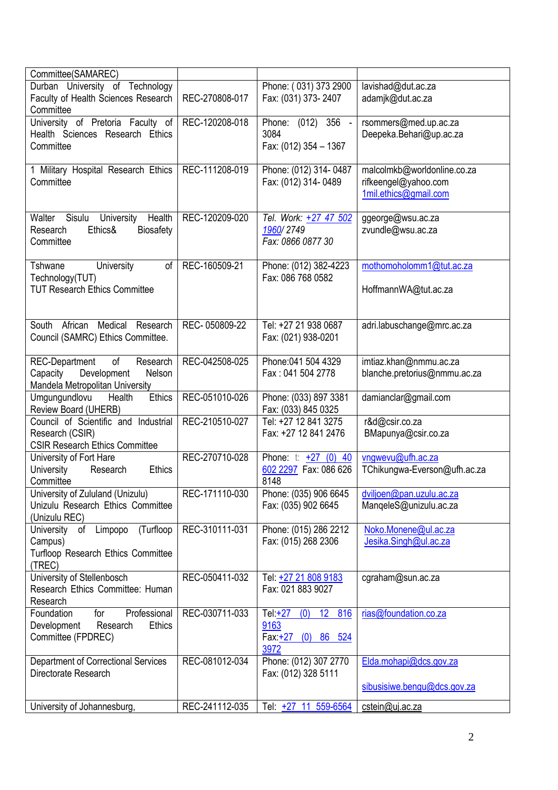| Committee(SAMAREC)                             |                |                                            |                              |
|------------------------------------------------|----------------|--------------------------------------------|------------------------------|
| Durban University of Technology                |                | Phone: (031) 373 2900                      | lavishad@dut.ac.za           |
| Faculty of Health Sciences Research            | REC-270808-017 | Fax: (031) 373-2407                        | adamjk@dut.ac.za             |
| Committee                                      |                |                                            |                              |
| University of Pretoria Faculty of              | REC-120208-018 | Phone: (012) 356 -                         | rsommers@med.up.ac.za        |
| Health Sciences Research Ethics                |                | 3084                                       | Deepeka.Behari@up.ac.za      |
| Committee                                      |                | Fax: (012) 354 - 1367                      |                              |
|                                                |                |                                            |                              |
| 1 Military Hospital Research Ethics            | REC-111208-019 | Phone: (012) 314-0487                      | malcolmkb@worldonline.co.za  |
| Committee                                      |                | Fax: (012) 314-0489                        | rifkeengel@yahoo.com         |
|                                                |                |                                            | 1mil.ethics@gmail.com        |
|                                                |                |                                            |                              |
| Walter<br>Health<br>Sisulu<br>University       | REC-120209-020 | Tel. Work: +27 47 502                      | ggeorge@wsu.ac.za            |
| Ethics&<br><b>Biosafety</b><br>Research        |                | 1960/2749                                  | zvundle@wsu.ac.za            |
| Committee                                      |                | Fax: 0866 0877 30                          |                              |
|                                                |                |                                            |                              |
| Tshwane<br>University<br>of                    | REC-160509-21  | Phone: (012) 382-4223                      | mothomoholomm1@tut.ac.za     |
| Technology(TUT)                                |                | Fax: 086 768 0582                          |                              |
| <b>TUT Research Ethics Committee</b>           |                |                                            | HoffmannWA@tut.ac.za         |
|                                                |                |                                            |                              |
|                                                |                |                                            |                              |
| African<br>Medical Research<br>South           | REC-050809-22  | Tel: +27 21 938 0687                       | adri.labuschange@mrc.ac.za   |
| Council (SAMRC) Ethics Committee.              |                | Fax: (021) 938-0201                        |                              |
|                                                |                |                                            |                              |
| of<br>REC-Department<br>Research               | REC-042508-025 | Phone: 041 504 4329                        | imtiaz.khan@nmmu.ac.za       |
| Development<br>Capacity<br>Nelson              |                | Fax: 041 504 2778                          | blanche.pretorius@nmmu.ac.za |
| Mandela Metropolitan University                |                |                                            |                              |
| Ethics<br>Umgungundlovu<br>Health              | REC-051010-026 | Phone: (033) 897 3381                      | damianclar@gmail.com         |
| Review Board (UHERB)                           |                | Fax: (033) 845 0325                        |                              |
| Council of Scientific and Industrial           | REC-210510-027 | Tel: +27 12 841 3275                       | r&d@csir.co.za               |
| Research (CSIR)                                |                | Fax: +27 12 841 2476                       | BMapunya@csir.co.za          |
| <b>CSIR Research Ethics Committee</b>          |                |                                            |                              |
| University of Fort Hare                        | REC-270710-028 | Phone: $t: +27$ (0) 40                     | vngwevu@ufh.ac.za            |
| <b>University</b><br>Research<br><b>Ethics</b> |                | 602 2297 Fax: 086 626                      | TChikungwa-Everson@ufh.ac.za |
| Committee                                      |                | 8148                                       |                              |
| University of Zululand (Unizulu)               | REC-171110-030 | Phone: (035) 906 6645                      | dviljoen@pan.uzulu.ac.za     |
| Unizulu Research Ethics Committee              |                | Fax: (035) 902 6645                        | MangeleS@unizulu.ac.za       |
| (Unizulu REC)                                  |                |                                            |                              |
| (Turfloop<br>Limpopo<br>University of          | REC-310111-031 | Phone: (015) 286 2212                      | Noko.Monene@ul.ac.za         |
| Campus)                                        |                | Fax: (015) 268 2306                        | Jesika.Singh@ul.ac.za        |
| <b>Turfloop Research Ethics Committee</b>      |                |                                            |                              |
| (TREC)                                         |                |                                            |                              |
| University of Stellenbosch                     | REC-050411-032 | Tel: +27 21 808 9183                       | cgraham@sun.ac.za            |
| Research Ethics Committee: Human               |                | Fax: 021 883 9027                          |                              |
| Research                                       |                |                                            |                              |
| Professional<br>Foundation<br>for              | REC-030711-033 | Tel $+27$<br>(0)<br>12 <sup>2</sup><br>816 | rias@foundation.co.za        |
| Development<br>Research<br><b>Ethics</b>       |                | 9163                                       |                              |
| Committee (FPDREC)                             |                | $(0)$ 86 524<br>Fax: <u>+27_</u>           |                              |
|                                                |                | 3972                                       |                              |
| Department of Correctional Services            | REC-081012-034 | Phone: (012) 307 2770                      | Elda.mohapi@dcs.gov.za       |
| Directorate Research                           |                | Fax: (012) 328 5111                        |                              |
|                                                |                |                                            | sibusisiwe.bengu@dcs.gov.za  |
| University of Johannesburg,                    | REC-241112-035 | Tel: +27 11 559-6564                       | cstein@uj.ac.za              |
|                                                |                |                                            |                              |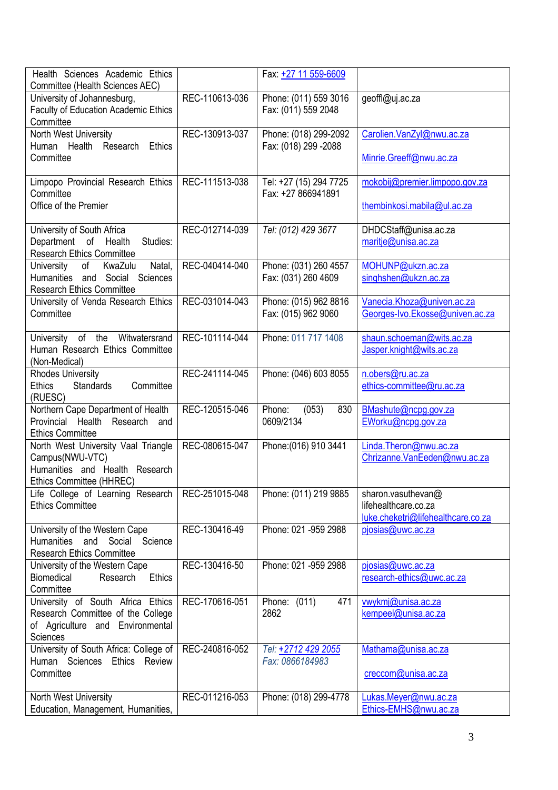| Health Sciences Academic Ethics<br>Committee (Health Sciences AEC)                                                     |                | Fax: +27 11 559-6609                          |                                                                                  |
|------------------------------------------------------------------------------------------------------------------------|----------------|-----------------------------------------------|----------------------------------------------------------------------------------|
| University of Johannesburg,<br><b>Faculty of Education Academic Ethics</b><br>Committee                                | REC-110613-036 | Phone: (011) 559 3016<br>Fax: (011) 559 2048  | geoffl@uj.ac.za                                                                  |
| North West University<br>Human Health Research<br><b>Ethics</b>                                                        | REC-130913-037 | Phone: (018) 299-2092<br>Fax: (018) 299 -2088 | Carolien.VanZyl@nwu.ac.za                                                        |
| Committee                                                                                                              |                |                                               | Minrie.Greeff@nwu.ac.za                                                          |
| Limpopo Provincial Research Ethics<br>Committee                                                                        | REC-111513-038 | Tel: +27 (15) 294 7725<br>Fax: +27 866941891  | mokobij@premier.limpopo.gov.za                                                   |
| Office of the Premier                                                                                                  |                |                                               | thembinkosi.mabila@ul.ac.za                                                      |
| University of South Africa<br>Department of Health<br>Studies:<br><b>Research Ethics Committee</b>                     | REC-012714-039 | Tel: (012) 429 3677                           | DHDCStaff@unisa.ac.za<br>maritje@unisa.ac.za                                     |
| University<br>of<br>KwaZulu<br>Natal,<br>Humanities and Social Sciences<br><b>Research Ethics Committee</b>            | REC-040414-040 | Phone: (031) 260 4557<br>Fax: (031) 260 4609  | MOHUNP@ukzn.ac.za<br>singhshen@ukzn.ac.za                                        |
| University of Venda Research Ethics                                                                                    | REC-031014-043 | Phone: (015) 962 8816                         | Vanecia.Khoza@univen.ac.za                                                       |
| Committee                                                                                                              |                | Fax: (015) 962 9060                           | Georges-Ivo.Ekosse@univen.ac.za                                                  |
| University of the Witwatersrand<br>Human Research Ethics Committee<br>(Non-Medical)                                    | REC-101114-044 | Phone: 011 717 1408                           | shaun.schoeman@wits.ac.za<br>Jasper.knight@wits.ac.za                            |
| <b>Rhodes University</b><br>Committee<br><b>Ethics</b><br><b>Standards</b><br>(RUESC)                                  | REC-241114-045 | Phone: (046) 603 8055                         | n.obers@ru.ac.za<br>ethics-committee@ru.ac.za                                    |
| Northern Cape Department of Health<br>Provincial Health Research and<br><b>Ethics Committee</b>                        | REC-120515-046 | (053)<br>830<br>Phone:<br>0609/2134           | BMashute@ncpg.gov.za<br>EWorku@ncpg.gov.za                                       |
| North West University Vaal Triangle<br>Campus(NWU-VTC)<br>Humanities and Health Research<br>Ethics Committee (HHREC)   | REC-080615-047 | Phone: (016) 910 3441                         | Linda.Theron@nwu.ac.za<br>Chrizanne.VanEeden@nwu.ac.za                           |
| Life College of Learning Research<br><b>Ethics Committee</b>                                                           | REC-251015-048 | Phone: (011) 219 9885                         | sharon.vasuthevan@<br>lifehealthcare.co.za<br>luke.cheketri@lifehealthcare.co.za |
| University of the Western Cape<br>Humanities and<br>Social Science<br><b>Research Ethics Committee</b>                 | REC-130416-49  | Phone: 021 -959 2988                          | pjosias@uwc.ac.za                                                                |
| University of the Western Cape<br><b>Biomedical</b><br>Research<br><b>Ethics</b><br>Committee                          | REC-130416-50  | Phone: 021 -959 2988                          | pjosias@uwc.ac.za<br>research-ethics@uwc.ac.za                                   |
| University of South Africa Ethics<br>Research Committee of the College<br>of Agriculture and Environmental<br>Sciences | REC-170616-051 | Phone: (011)<br>471<br>2862                   | vwykmj@unisa.ac.za<br>kempeel@unisa.ac.za                                        |
| University of South Africa: College of<br>Human Sciences Ethics Review<br>Committee                                    | REC-240816-052 | Tel: +2712 429 2055<br>Fax: 0866184983        | Mathama@unisa.ac.za<br>creccom@unisa.ac.za                                       |
| North West University<br>Education, Management, Humanities,                                                            | REC-011216-053 | Phone: (018) 299-4778                         | Lukas.Meyer@nwu.ac.za<br>Ethics-EMHS@nwu.ac.za                                   |